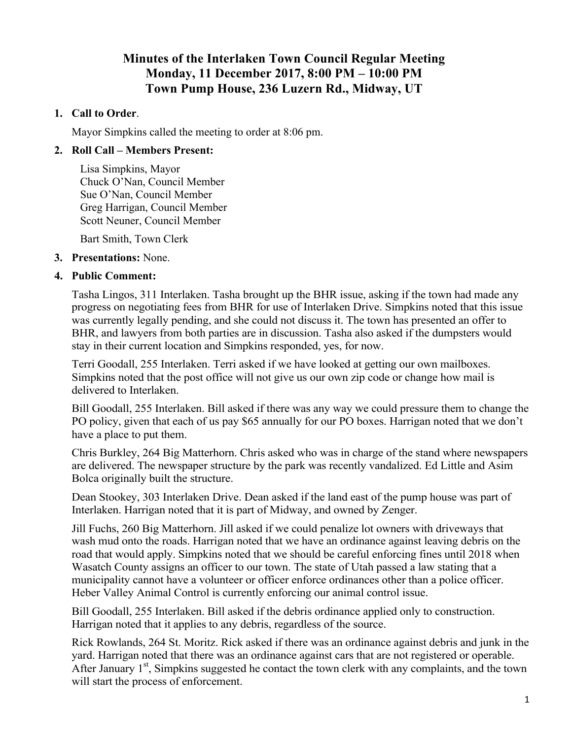# **Minutes of the Interlaken Town Council Regular Meeting Monday, 11 December 2017, 8:00 PM – 10:00 PM Town Pump House, 236 Luzern Rd., Midway, UT**

### **1. Call to Order**.

Mayor Simpkins called the meeting to order at 8:06 pm.

### **2. Roll Call – Members Present:**

Lisa Simpkins, Mayor Chuck O'Nan, Council Member Sue O'Nan, Council Member Greg Harrigan, Council Member Scott Neuner, Council Member

Bart Smith, Town Clerk

#### **3. Presentations:** None.

#### **4. Public Comment:**

Tasha Lingos, 311 Interlaken. Tasha brought up the BHR issue, asking if the town had made any progress on negotiating fees from BHR for use of Interlaken Drive. Simpkins noted that this issue was currently legally pending, and she could not discuss it. The town has presented an offer to BHR, and lawyers from both parties are in discussion. Tasha also asked if the dumpsters would stay in their current location and Simpkins responded, yes, for now.

Terri Goodall, 255 Interlaken. Terri asked if we have looked at getting our own mailboxes. Simpkins noted that the post office will not give us our own zip code or change how mail is delivered to Interlaken.

Bill Goodall, 255 Interlaken. Bill asked if there was any way we could pressure them to change the PO policy, given that each of us pay \$65 annually for our PO boxes. Harrigan noted that we don't have a place to put them.

Chris Burkley, 264 Big Matterhorn. Chris asked who was in charge of the stand where newspapers are delivered. The newspaper structure by the park was recently vandalized. Ed Little and Asim Bolca originally built the structure.

Dean Stookey, 303 Interlaken Drive. Dean asked if the land east of the pump house was part of Interlaken. Harrigan noted that it is part of Midway, and owned by Zenger.

Jill Fuchs, 260 Big Matterhorn. Jill asked if we could penalize lot owners with driveways that wash mud onto the roads. Harrigan noted that we have an ordinance against leaving debris on the road that would apply. Simpkins noted that we should be careful enforcing fines until 2018 when Wasatch County assigns an officer to our town. The state of Utah passed a law stating that a municipality cannot have a volunteer or officer enforce ordinances other than a police officer. Heber Valley Animal Control is currently enforcing our animal control issue.

Bill Goodall, 255 Interlaken. Bill asked if the debris ordinance applied only to construction. Harrigan noted that it applies to any debris, regardless of the source.

Rick Rowlands, 264 St. Moritz. Rick asked if there was an ordinance against debris and junk in the yard. Harrigan noted that there was an ordinance against cars that are not registered or operable. After January  $1<sup>st</sup>$ , Simpkins suggested he contact the town clerk with any complaints, and the town will start the process of enforcement.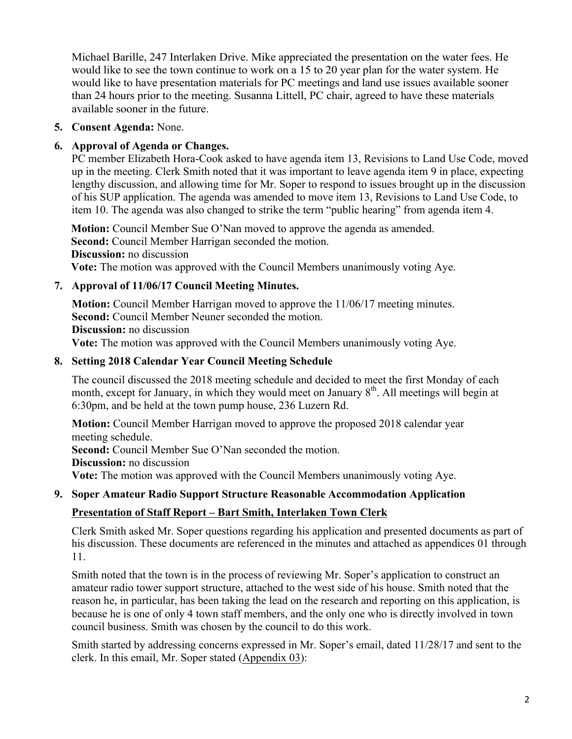Michael Barille, 247 Interlaken Drive. Mike appreciated the presentation on the water fees. He would like to see the town continue to work on a 15 to 20 year plan for the water system. He would like to have presentation materials for PC meetings and land use issues available sooner than 24 hours prior to the meeting. Susanna Littell, PC chair, agreed to have these materials available sooner in the future.

# **5. Consent Agenda:** None.

# **6. Approval of Agenda or Changes.**

PC member Elizabeth Hora-Cook asked to have agenda item 13, Revisions to Land Use Code, moved up in the meeting. Clerk Smith noted that it was important to leave agenda item 9 in place, expecting lengthy discussion, and allowing time for Mr. Soper to respond to issues brought up in the discussion of his SUP application. The agenda was amended to move item 13, Revisions to Land Use Code, to item 10. The agenda was also changed to strike the term "public hearing" from agenda item 4.

**Motion:** Council Member Sue O'Nan moved to approve the agenda as amended. **Second:** Council Member Harrigan seconded the motion. **Discussion:** no discussion **Vote:** The motion was approved with the Council Members unanimously voting Aye.

# **7. Approval of 11/06/17 Council Meeting Minutes.**

**Motion:** Council Member Harrigan moved to approve the 11/06/17 meeting minutes. **Second:** Council Member Neuner seconded the motion. **Discussion:** no discussion

**Vote:** The motion was approved with the Council Members unanimously voting Aye.

### **8. Setting 2018 Calendar Year Council Meeting Schedule**

The council discussed the 2018 meeting schedule and decided to meet the first Monday of each month, except for January, in which they would meet on January  $8<sup>th</sup>$ . All meetings will begin at 6:30pm, and be held at the town pump house, 236 Luzern Rd.

**Motion:** Council Member Harrigan moved to approve the proposed 2018 calendar year meeting schedule. **Second:** Council Member Sue O'Nan seconded the motion.

**Discussion:** no discussion

**Vote:** The motion was approved with the Council Members unanimously voting Aye.

### **9. Soper Amateur Radio Support Structure Reasonable Accommodation Application**

### **Presentation of Staff Report – Bart Smith, Interlaken Town Clerk**

Clerk Smith asked Mr. Soper questions regarding his application and presented documents as part of his discussion. These documents are referenced in the minutes and attached as appendices 01 through 11.

Smith noted that the town is in the process of reviewing Mr. Soper's application to construct an amateur radio tower support structure, attached to the west side of his house. Smith noted that the reason he, in particular, has been taking the lead on the research and reporting on this application, is because he is one of only 4 town staff members, and the only one who is directly involved in town council business. Smith was chosen by the council to do this work.

Smith started by addressing concerns expressed in Mr. Soper's email, dated 11/28/17 and sent to the clerk. In this email, Mr. Soper stated (Appendix 03):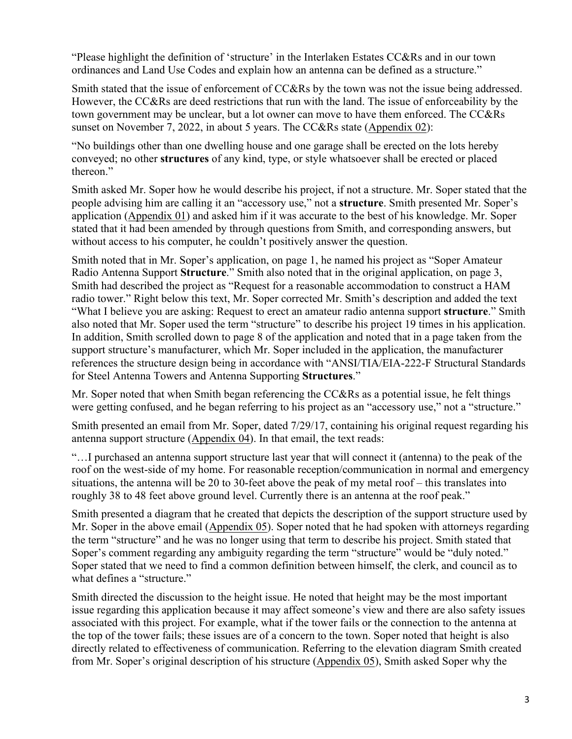"Please highlight the definition of 'structure' in the Interlaken Estates CC&Rs and in our town ordinances and Land Use Codes and explain how an antenna can be defined as a structure."

Smith stated that the issue of enforcement of CC&Rs by the town was not the issue being addressed. However, the CC&Rs are deed restrictions that run with the land. The issue of enforceability by the town government may be unclear, but a lot owner can move to have them enforced. The CC&Rs sunset on November 7, 2022, in about 5 years. The CC&Rs state (Appendix 02):

"No buildings other than one dwelling house and one garage shall be erected on the lots hereby conveyed; no other **structures** of any kind, type, or style whatsoever shall be erected or placed thereon."

Smith asked Mr. Soper how he would describe his project, if not a structure. Mr. Soper stated that the people advising him are calling it an "accessory use," not a **structure**. Smith presented Mr. Soper's application (Appendix 01) and asked him if it was accurate to the best of his knowledge. Mr. Soper stated that it had been amended by through questions from Smith, and corresponding answers, but without access to his computer, he couldn't positively answer the question.

Smith noted that in Mr. Soper's application, on page 1, he named his project as "Soper Amateur Radio Antenna Support **Structure**." Smith also noted that in the original application, on page 3, Smith had described the project as "Request for a reasonable accommodation to construct a HAM radio tower." Right below this text, Mr. Soper corrected Mr. Smith's description and added the text "What I believe you are asking: Request to erect an amateur radio antenna support **structure**." Smith also noted that Mr. Soper used the term "structure" to describe his project 19 times in his application. In addition, Smith scrolled down to page 8 of the application and noted that in a page taken from the support structure's manufacturer, which Mr. Soper included in the application, the manufacturer references the structure design being in accordance with "ANSI/TIA/EIA-222-F Structural Standards for Steel Antenna Towers and Antenna Supporting **Structures**."

Mr. Soper noted that when Smith began referencing the CC&Rs as a potential issue, he felt things were getting confused, and he began referring to his project as an "accessory use," not a "structure."

Smith presented an email from Mr. Soper, dated 7/29/17, containing his original request regarding his antenna support structure (Appendix 04). In that email, the text reads:

"…I purchased an antenna support structure last year that will connect it (antenna) to the peak of the roof on the west-side of my home. For reasonable reception/communication in normal and emergency situations, the antenna will be 20 to 30-feet above the peak of my metal roof – this translates into roughly 38 to 48 feet above ground level. Currently there is an antenna at the roof peak."

Smith presented a diagram that he created that depicts the description of the support structure used by Mr. Soper in the above email (Appendix 05). Soper noted that he had spoken with attorneys regarding the term "structure" and he was no longer using that term to describe his project. Smith stated that Soper's comment regarding any ambiguity regarding the term "structure" would be "duly noted." Soper stated that we need to find a common definition between himself, the clerk, and council as to what defines a "structure."

Smith directed the discussion to the height issue. He noted that height may be the most important issue regarding this application because it may affect someone's view and there are also safety issues associated with this project. For example, what if the tower fails or the connection to the antenna at the top of the tower fails; these issues are of a concern to the town. Soper noted that height is also directly related to effectiveness of communication. Referring to the elevation diagram Smith created from Mr. Soper's original description of his structure (Appendix 05), Smith asked Soper why the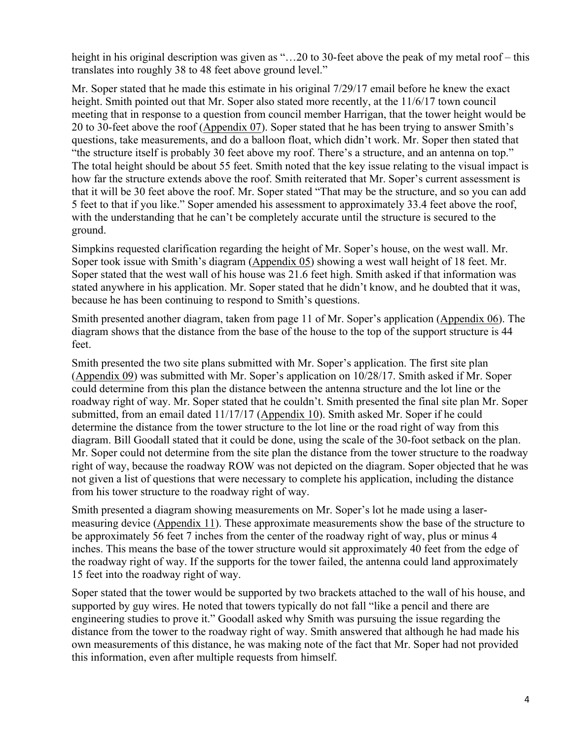height in his original description was given as "...20 to 30-feet above the peak of my metal roof – this translates into roughly 38 to 48 feet above ground level."

Mr. Soper stated that he made this estimate in his original 7/29/17 email before he knew the exact height. Smith pointed out that Mr. Soper also stated more recently, at the 11/6/17 town council meeting that in response to a question from council member Harrigan, that the tower height would be 20 to 30-feet above the roof (Appendix 07). Soper stated that he has been trying to answer Smith's questions, take measurements, and do a balloon float, which didn't work. Mr. Soper then stated that "the structure itself is probably 30 feet above my roof. There's a structure, and an antenna on top." The total height should be about 55 feet. Smith noted that the key issue relating to the visual impact is how far the structure extends above the roof. Smith reiterated that Mr. Soper's current assessment is that it will be 30 feet above the roof. Mr. Soper stated "That may be the structure, and so you can add 5 feet to that if you like." Soper amended his assessment to approximately 33.4 feet above the roof, with the understanding that he can't be completely accurate until the structure is secured to the ground.

Simpkins requested clarification regarding the height of Mr. Soper's house, on the west wall. Mr. Soper took issue with Smith's diagram (Appendix 05) showing a west wall height of 18 feet. Mr. Soper stated that the west wall of his house was 21.6 feet high. Smith asked if that information was stated anywhere in his application. Mr. Soper stated that he didn't know, and he doubted that it was, because he has been continuing to respond to Smith's questions.

Smith presented another diagram, taken from page 11 of Mr. Soper's application (Appendix 06). The diagram shows that the distance from the base of the house to the top of the support structure is 44 feet.

Smith presented the two site plans submitted with Mr. Soper's application. The first site plan (Appendix 09) was submitted with Mr. Soper's application on 10/28/17. Smith asked if Mr. Soper could determine from this plan the distance between the antenna structure and the lot line or the roadway right of way. Mr. Soper stated that he couldn't. Smith presented the final site plan Mr. Soper submitted, from an email dated 11/17/17 (Appendix 10). Smith asked Mr. Soper if he could determine the distance from the tower structure to the lot line or the road right of way from this diagram. Bill Goodall stated that it could be done, using the scale of the 30-foot setback on the plan. Mr. Soper could not determine from the site plan the distance from the tower structure to the roadway right of way, because the roadway ROW was not depicted on the diagram. Soper objected that he was not given a list of questions that were necessary to complete his application, including the distance from his tower structure to the roadway right of way.

Smith presented a diagram showing measurements on Mr. Soper's lot he made using a lasermeasuring device (Appendix 11). These approximate measurements show the base of the structure to be approximately 56 feet 7 inches from the center of the roadway right of way, plus or minus 4 inches. This means the base of the tower structure would sit approximately 40 feet from the edge of the roadway right of way. If the supports for the tower failed, the antenna could land approximately 15 feet into the roadway right of way.

Soper stated that the tower would be supported by two brackets attached to the wall of his house, and supported by guy wires. He noted that towers typically do not fall "like a pencil and there are engineering studies to prove it." Goodall asked why Smith was pursuing the issue regarding the distance from the tower to the roadway right of way. Smith answered that although he had made his own measurements of this distance, he was making note of the fact that Mr. Soper had not provided this information, even after multiple requests from himself.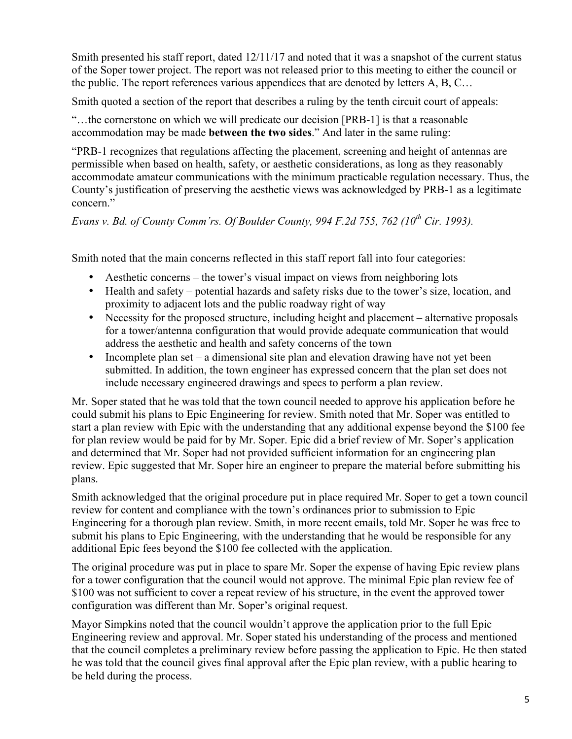Smith presented his staff report, dated 12/11/17 and noted that it was a snapshot of the current status of the Soper tower project. The report was not released prior to this meeting to either the council or the public. The report references various appendices that are denoted by letters A, B, C…

Smith quoted a section of the report that describes a ruling by the tenth circuit court of appeals:

"…the cornerstone on which we will predicate our decision [PRB-1] is that a reasonable accommodation may be made **between the two sides**." And later in the same ruling:

"PRB-1 recognizes that regulations affecting the placement, screening and height of antennas are permissible when based on health, safety, or aesthetic considerations, as long as they reasonably accommodate amateur communications with the minimum practicable regulation necessary. Thus, the County's justification of preserving the aesthetic views was acknowledged by PRB-1 as a legitimate concern<sup>"</sup>

*Evans v. Bd. of County Comm'rs. Of Boulder County, 994 F.2d 755, 762 (10th Cir. 1993).*

Smith noted that the main concerns reflected in this staff report fall into four categories:

- Aesthetic concerns the tower's visual impact on views from neighboring lots
- Health and safety potential hazards and safety risks due to the tower's size, location, and proximity to adjacent lots and the public roadway right of way
- Necessity for the proposed structure, including height and placement alternative proposals for a tower/antenna configuration that would provide adequate communication that would address the aesthetic and health and safety concerns of the town
- Incomplete plan set a dimensional site plan and elevation drawing have not yet been submitted. In addition, the town engineer has expressed concern that the plan set does not include necessary engineered drawings and specs to perform a plan review.

Mr. Soper stated that he was told that the town council needed to approve his application before he could submit his plans to Epic Engineering for review. Smith noted that Mr. Soper was entitled to start a plan review with Epic with the understanding that any additional expense beyond the \$100 fee for plan review would be paid for by Mr. Soper. Epic did a brief review of Mr. Soper's application and determined that Mr. Soper had not provided sufficient information for an engineering plan review. Epic suggested that Mr. Soper hire an engineer to prepare the material before submitting his plans.

Smith acknowledged that the original procedure put in place required Mr. Soper to get a town council review for content and compliance with the town's ordinances prior to submission to Epic Engineering for a thorough plan review. Smith, in more recent emails, told Mr. Soper he was free to submit his plans to Epic Engineering, with the understanding that he would be responsible for any additional Epic fees beyond the \$100 fee collected with the application.

The original procedure was put in place to spare Mr. Soper the expense of having Epic review plans for a tower configuration that the council would not approve. The minimal Epic plan review fee of \$100 was not sufficient to cover a repeat review of his structure, in the event the approved tower configuration was different than Mr. Soper's original request.

Mayor Simpkins noted that the council wouldn't approve the application prior to the full Epic Engineering review and approval. Mr. Soper stated his understanding of the process and mentioned that the council completes a preliminary review before passing the application to Epic. He then stated he was told that the council gives final approval after the Epic plan review, with a public hearing to be held during the process.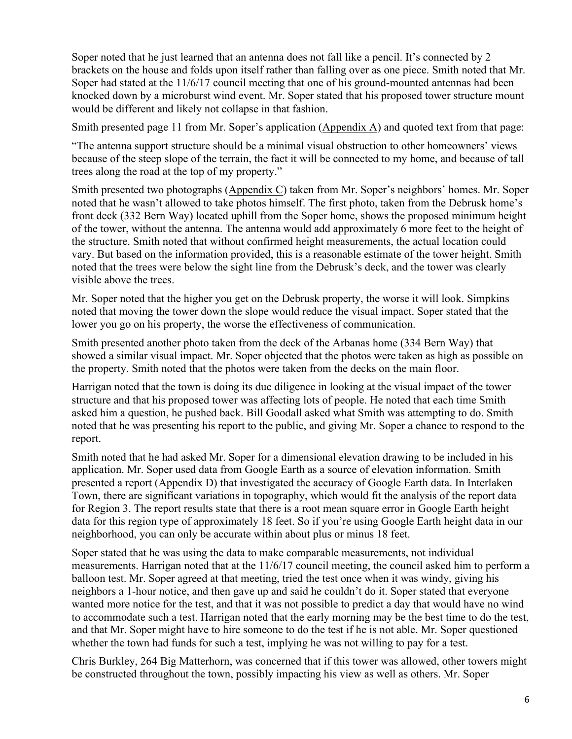Soper noted that he just learned that an antenna does not fall like a pencil. It's connected by 2 brackets on the house and folds upon itself rather than falling over as one piece. Smith noted that Mr. Soper had stated at the 11/6/17 council meeting that one of his ground-mounted antennas had been knocked down by a microburst wind event. Mr. Soper stated that his proposed tower structure mount would be different and likely not collapse in that fashion.

Smith presented page 11 from Mr. Soper's application (Appendix A) and quoted text from that page:

"The antenna support structure should be a minimal visual obstruction to other homeowners' views because of the steep slope of the terrain, the fact it will be connected to my home, and because of tall trees along the road at the top of my property."

Smith presented two photographs (Appendix C) taken from Mr. Soper's neighbors' homes. Mr. Soper noted that he wasn't allowed to take photos himself. The first photo, taken from the Debrusk home's front deck (332 Bern Way) located uphill from the Soper home, shows the proposed minimum height of the tower, without the antenna. The antenna would add approximately 6 more feet to the height of the structure. Smith noted that without confirmed height measurements, the actual location could vary. But based on the information provided, this is a reasonable estimate of the tower height. Smith noted that the trees were below the sight line from the Debrusk's deck, and the tower was clearly visible above the trees.

Mr. Soper noted that the higher you get on the Debrusk property, the worse it will look. Simpkins noted that moving the tower down the slope would reduce the visual impact. Soper stated that the lower you go on his property, the worse the effectiveness of communication.

Smith presented another photo taken from the deck of the Arbanas home (334 Bern Way) that showed a similar visual impact. Mr. Soper objected that the photos were taken as high as possible on the property. Smith noted that the photos were taken from the decks on the main floor.

Harrigan noted that the town is doing its due diligence in looking at the visual impact of the tower structure and that his proposed tower was affecting lots of people. He noted that each time Smith asked him a question, he pushed back. Bill Goodall asked what Smith was attempting to do. Smith noted that he was presenting his report to the public, and giving Mr. Soper a chance to respond to the report.

Smith noted that he had asked Mr. Soper for a dimensional elevation drawing to be included in his application. Mr. Soper used data from Google Earth as a source of elevation information. Smith presented a report (Appendix D) that investigated the accuracy of Google Earth data. In Interlaken Town, there are significant variations in topography, which would fit the analysis of the report data for Region 3. The report results state that there is a root mean square error in Google Earth height data for this region type of approximately 18 feet. So if you're using Google Earth height data in our neighborhood, you can only be accurate within about plus or minus 18 feet.

Soper stated that he was using the data to make comparable measurements, not individual measurements. Harrigan noted that at the 11/6/17 council meeting, the council asked him to perform a balloon test. Mr. Soper agreed at that meeting, tried the test once when it was windy, giving his neighbors a 1-hour notice, and then gave up and said he couldn't do it. Soper stated that everyone wanted more notice for the test, and that it was not possible to predict a day that would have no wind to accommodate such a test. Harrigan noted that the early morning may be the best time to do the test, and that Mr. Soper might have to hire someone to do the test if he is not able. Mr. Soper questioned whether the town had funds for such a test, implying he was not willing to pay for a test.

Chris Burkley, 264 Big Matterhorn, was concerned that if this tower was allowed, other towers might be constructed throughout the town, possibly impacting his view as well as others. Mr. Soper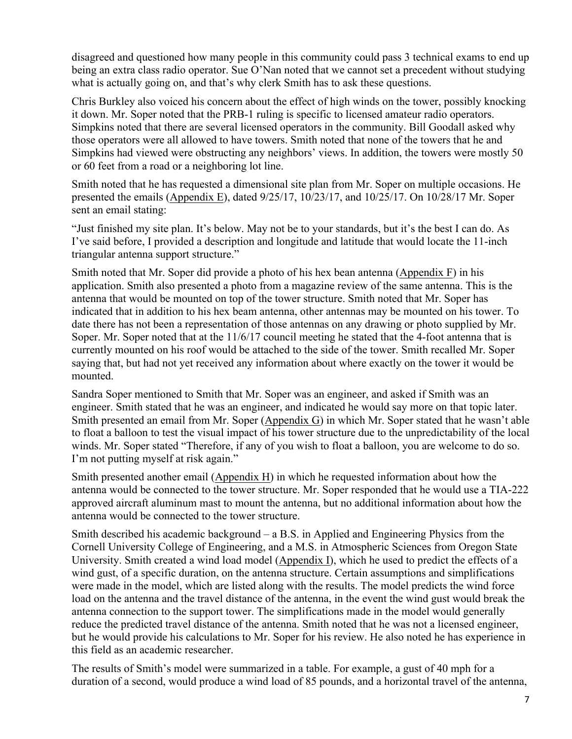disagreed and questioned how many people in this community could pass 3 technical exams to end up being an extra class radio operator. Sue O'Nan noted that we cannot set a precedent without studying what is actually going on, and that's why clerk Smith has to ask these questions.

Chris Burkley also voiced his concern about the effect of high winds on the tower, possibly knocking it down. Mr. Soper noted that the PRB-1 ruling is specific to licensed amateur radio operators. Simpkins noted that there are several licensed operators in the community. Bill Goodall asked why those operators were all allowed to have towers. Smith noted that none of the towers that he and Simpkins had viewed were obstructing any neighbors' views. In addition, the towers were mostly 50 or 60 feet from a road or a neighboring lot line.

Smith noted that he has requested a dimensional site plan from Mr. Soper on multiple occasions. He presented the emails (Appendix E), dated 9/25/17, 10/23/17, and 10/25/17. On 10/28/17 Mr. Soper sent an email stating:

"Just finished my site plan. It's below. May not be to your standards, but it's the best I can do. As I've said before, I provided a description and longitude and latitude that would locate the 11-inch triangular antenna support structure."

Smith noted that Mr. Soper did provide a photo of his hex bean antenna (Appendix F) in his application. Smith also presented a photo from a magazine review of the same antenna. This is the antenna that would be mounted on top of the tower structure. Smith noted that Mr. Soper has indicated that in addition to his hex beam antenna, other antennas may be mounted on his tower. To date there has not been a representation of those antennas on any drawing or photo supplied by Mr. Soper. Mr. Soper noted that at the 11/6/17 council meeting he stated that the 4-foot antenna that is currently mounted on his roof would be attached to the side of the tower. Smith recalled Mr. Soper saying that, but had not yet received any information about where exactly on the tower it would be mounted.

Sandra Soper mentioned to Smith that Mr. Soper was an engineer, and asked if Smith was an engineer. Smith stated that he was an engineer, and indicated he would say more on that topic later. Smith presented an email from Mr. Soper (Appendix G) in which Mr. Soper stated that he wasn't able to float a balloon to test the visual impact of his tower structure due to the unpredictability of the local winds. Mr. Soper stated "Therefore, if any of you wish to float a balloon, you are welcome to do so. I'm not putting myself at risk again."

Smith presented another email (Appendix H) in which he requested information about how the antenna would be connected to the tower structure. Mr. Soper responded that he would use a TIA-222 approved aircraft aluminum mast to mount the antenna, but no additional information about how the antenna would be connected to the tower structure.

Smith described his academic background – a B.S. in Applied and Engineering Physics from the Cornell University College of Engineering, and a M.S. in Atmospheric Sciences from Oregon State University. Smith created a wind load model (Appendix I), which he used to predict the effects of a wind gust, of a specific duration, on the antenna structure. Certain assumptions and simplifications were made in the model, which are listed along with the results. The model predicts the wind force load on the antenna and the travel distance of the antenna, in the event the wind gust would break the antenna connection to the support tower. The simplifications made in the model would generally reduce the predicted travel distance of the antenna. Smith noted that he was not a licensed engineer, but he would provide his calculations to Mr. Soper for his review. He also noted he has experience in this field as an academic researcher.

The results of Smith's model were summarized in a table. For example, a gust of 40 mph for a duration of a second, would produce a wind load of 85 pounds, and a horizontal travel of the antenna,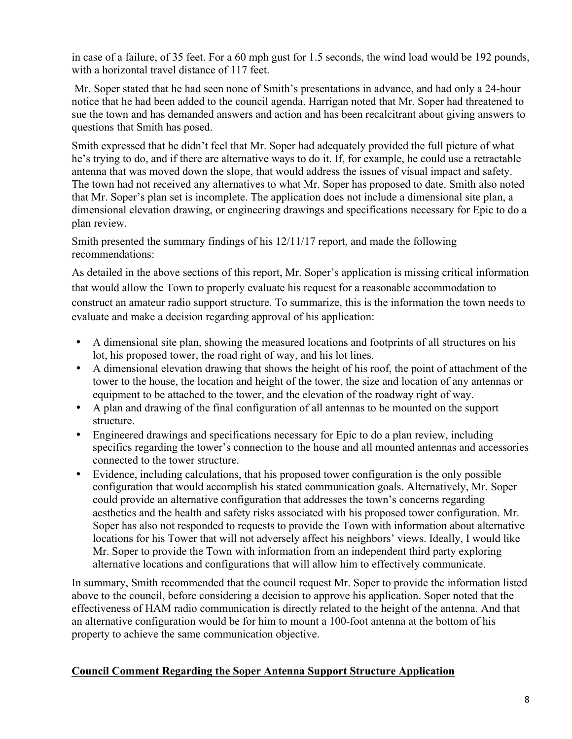in case of a failure, of 35 feet. For a 60 mph gust for 1.5 seconds, the wind load would be 192 pounds, with a horizontal travel distance of 117 feet.

Mr. Soper stated that he had seen none of Smith's presentations in advance, and had only a 24-hour notice that he had been added to the council agenda. Harrigan noted that Mr. Soper had threatened to sue the town and has demanded answers and action and has been recalcitrant about giving answers to questions that Smith has posed.

Smith expressed that he didn't feel that Mr. Soper had adequately provided the full picture of what he's trying to do, and if there are alternative ways to do it. If, for example, he could use a retractable antenna that was moved down the slope, that would address the issues of visual impact and safety. The town had not received any alternatives to what Mr. Soper has proposed to date. Smith also noted that Mr. Soper's plan set is incomplete. The application does not include a dimensional site plan, a dimensional elevation drawing, or engineering drawings and specifications necessary for Epic to do a plan review.

Smith presented the summary findings of his 12/11/17 report, and made the following recommendations:

As detailed in the above sections of this report, Mr. Soper's application is missing critical information that would allow the Town to properly evaluate his request for a reasonable accommodation to construct an amateur radio support structure. To summarize, this is the information the town needs to evaluate and make a decision regarding approval of his application:

- A dimensional site plan, showing the measured locations and footprints of all structures on his lot, his proposed tower, the road right of way, and his lot lines.
- A dimensional elevation drawing that shows the height of his roof, the point of attachment of the tower to the house, the location and height of the tower, the size and location of any antennas or equipment to be attached to the tower, and the elevation of the roadway right of way.
- A plan and drawing of the final configuration of all antennas to be mounted on the support structure.
- Engineered drawings and specifications necessary for Epic to do a plan review, including specifics regarding the tower's connection to the house and all mounted antennas and accessories connected to the tower structure.
- Evidence, including calculations, that his proposed tower configuration is the only possible configuration that would accomplish his stated communication goals. Alternatively, Mr. Soper could provide an alternative configuration that addresses the town's concerns regarding aesthetics and the health and safety risks associated with his proposed tower configuration. Mr. Soper has also not responded to requests to provide the Town with information about alternative locations for his Tower that will not adversely affect his neighbors' views. Ideally, I would like Mr. Soper to provide the Town with information from an independent third party exploring alternative locations and configurations that will allow him to effectively communicate.

In summary, Smith recommended that the council request Mr. Soper to provide the information listed above to the council, before considering a decision to approve his application. Soper noted that the effectiveness of HAM radio communication is directly related to the height of the antenna. And that an alternative configuration would be for him to mount a 100-foot antenna at the bottom of his property to achieve the same communication objective.

# **Council Comment Regarding the Soper Antenna Support Structure Application**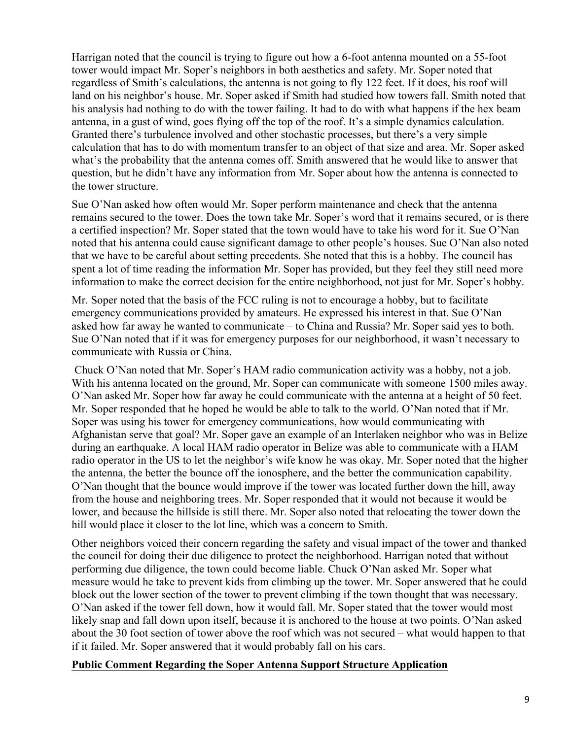Harrigan noted that the council is trying to figure out how a 6-foot antenna mounted on a 55-foot tower would impact Mr. Soper's neighbors in both aesthetics and safety. Mr. Soper noted that regardless of Smith's calculations, the antenna is not going to fly 122 feet. If it does, his roof will land on his neighbor's house. Mr. Soper asked if Smith had studied how towers fall. Smith noted that his analysis had nothing to do with the tower failing. It had to do with what happens if the hex beam antenna, in a gust of wind, goes flying off the top of the roof. It's a simple dynamics calculation. Granted there's turbulence involved and other stochastic processes, but there's a very simple calculation that has to do with momentum transfer to an object of that size and area. Mr. Soper asked what's the probability that the antenna comes off. Smith answered that he would like to answer that question, but he didn't have any information from Mr. Soper about how the antenna is connected to the tower structure.

Sue O'Nan asked how often would Mr. Soper perform maintenance and check that the antenna remains secured to the tower. Does the town take Mr. Soper's word that it remains secured, or is there a certified inspection? Mr. Soper stated that the town would have to take his word for it. Sue O'Nan noted that his antenna could cause significant damage to other people's houses. Sue O'Nan also noted that we have to be careful about setting precedents. She noted that this is a hobby. The council has spent a lot of time reading the information Mr. Soper has provided, but they feel they still need more information to make the correct decision for the entire neighborhood, not just for Mr. Soper's hobby.

Mr. Soper noted that the basis of the FCC ruling is not to encourage a hobby, but to facilitate emergency communications provided by amateurs. He expressed his interest in that. Sue O'Nan asked how far away he wanted to communicate – to China and Russia? Mr. Soper said yes to both. Sue O'Nan noted that if it was for emergency purposes for our neighborhood, it wasn't necessary to communicate with Russia or China.

Chuck O'Nan noted that Mr. Soper's HAM radio communication activity was a hobby, not a job. With his antenna located on the ground, Mr. Soper can communicate with someone 1500 miles away. O'Nan asked Mr. Soper how far away he could communicate with the antenna at a height of 50 feet. Mr. Soper responded that he hoped he would be able to talk to the world. O'Nan noted that if Mr. Soper was using his tower for emergency communications, how would communicating with Afghanistan serve that goal? Mr. Soper gave an example of an Interlaken neighbor who was in Belize during an earthquake. A local HAM radio operator in Belize was able to communicate with a HAM radio operator in the US to let the neighbor's wife know he was okay. Mr. Soper noted that the higher the antenna, the better the bounce off the ionosphere, and the better the communication capability. O'Nan thought that the bounce would improve if the tower was located further down the hill, away from the house and neighboring trees. Mr. Soper responded that it would not because it would be lower, and because the hillside is still there. Mr. Soper also noted that relocating the tower down the hill would place it closer to the lot line, which was a concern to Smith.

Other neighbors voiced their concern regarding the safety and visual impact of the tower and thanked the council for doing their due diligence to protect the neighborhood. Harrigan noted that without performing due diligence, the town could become liable. Chuck O'Nan asked Mr. Soper what measure would he take to prevent kids from climbing up the tower. Mr. Soper answered that he could block out the lower section of the tower to prevent climbing if the town thought that was necessary. O'Nan asked if the tower fell down, how it would fall. Mr. Soper stated that the tower would most likely snap and fall down upon itself, because it is anchored to the house at two points. O'Nan asked about the 30 foot section of tower above the roof which was not secured – what would happen to that if it failed. Mr. Soper answered that it would probably fall on his cars.

#### **Public Comment Regarding the Soper Antenna Support Structure Application**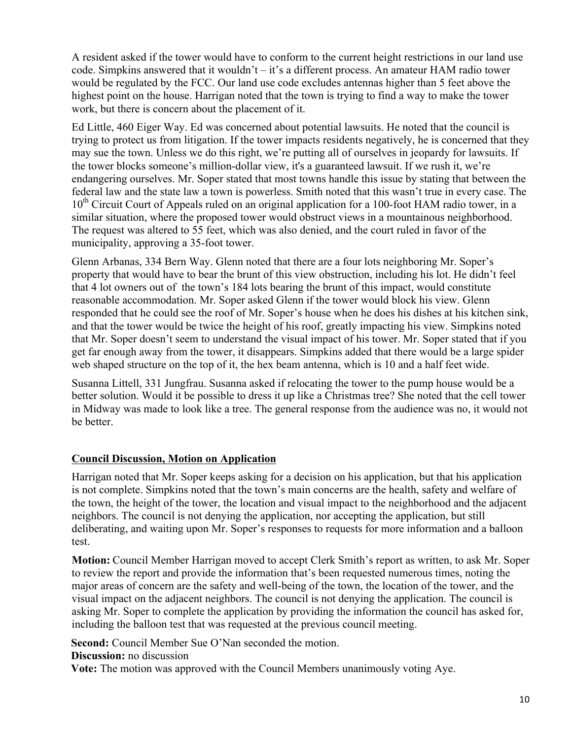A resident asked if the tower would have to conform to the current height restrictions in our land use code. Simpkins answered that it wouldn't – it's a different process. An amateur HAM radio tower would be regulated by the FCC. Our land use code excludes antennas higher than 5 feet above the highest point on the house. Harrigan noted that the town is trying to find a way to make the tower work, but there is concern about the placement of it.

Ed Little, 460 Eiger Way. Ed was concerned about potential lawsuits. He noted that the council is trying to protect us from litigation. If the tower impacts residents negatively, he is concerned that they may sue the town. Unless we do this right, we're putting all of ourselves in jeopardy for lawsuits. If the tower blocks someone's million-dollar view, it's a guaranteed lawsuit. If we rush it, we're endangering ourselves. Mr. Soper stated that most towns handle this issue by stating that between the federal law and the state law a town is powerless. Smith noted that this wasn't true in every case. The 10<sup>th</sup> Circuit Court of Appeals ruled on an original application for a 100-foot HAM radio tower, in a similar situation, where the proposed tower would obstruct views in a mountainous neighborhood. The request was altered to 55 feet, which was also denied, and the court ruled in favor of the municipality, approving a 35-foot tower.

Glenn Arbanas, 334 Bern Way. Glenn noted that there are a four lots neighboring Mr. Soper's property that would have to bear the brunt of this view obstruction, including his lot. He didn't feel that 4 lot owners out of the town's 184 lots bearing the brunt of this impact, would constitute reasonable accommodation. Mr. Soper asked Glenn if the tower would block his view. Glenn responded that he could see the roof of Mr. Soper's house when he does his dishes at his kitchen sink, and that the tower would be twice the height of his roof, greatly impacting his view. Simpkins noted that Mr. Soper doesn't seem to understand the visual impact of his tower. Mr. Soper stated that if you get far enough away from the tower, it disappears. Simpkins added that there would be a large spider web shaped structure on the top of it, the hex beam antenna, which is 10 and a half feet wide.

Susanna Littell, 331 Jungfrau. Susanna asked if relocating the tower to the pump house would be a better solution. Would it be possible to dress it up like a Christmas tree? She noted that the cell tower in Midway was made to look like a tree. The general response from the audience was no, it would not be better.

### **Council Discussion, Motion on Application**

Harrigan noted that Mr. Soper keeps asking for a decision on his application, but that his application is not complete. Simpkins noted that the town's main concerns are the health, safety and welfare of the town, the height of the tower, the location and visual impact to the neighborhood and the adjacent neighbors. The council is not denying the application, nor accepting the application, but still deliberating, and waiting upon Mr. Soper's responses to requests for more information and a balloon test.

**Motion:** Council Member Harrigan moved to accept Clerk Smith's report as written, to ask Mr. Soper to review the report and provide the information that's been requested numerous times, noting the major areas of concern are the safety and well-being of the town, the location of the tower, and the visual impact on the adjacent neighbors. The council is not denying the application. The council is asking Mr. Soper to complete the application by providing the information the council has asked for, including the balloon test that was requested at the previous council meeting.

**Second:** Council Member Sue O'Nan seconded the motion. **Discussion:** no discussion

**Vote:** The motion was approved with the Council Members unanimously voting Aye.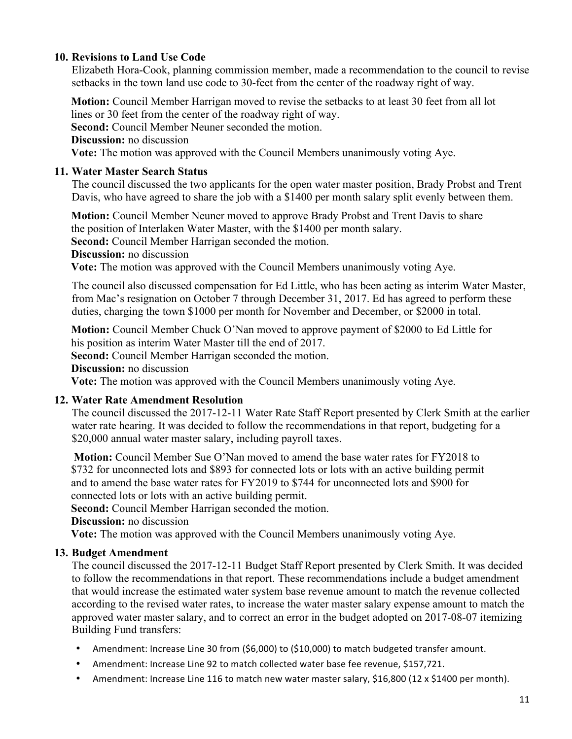# **10. Revisions to Land Use Code**

Elizabeth Hora-Cook, planning commission member, made a recommendation to the council to revise setbacks in the town land use code to 30-feet from the center of the roadway right of way.

**Motion:** Council Member Harrigan moved to revise the setbacks to at least 30 feet from all lot lines or 30 feet from the center of the roadway right of way. **Second:** Council Member Neuner seconded the motion. **Discussion:** no discussion **Vote:** The motion was approved with the Council Members unanimously voting Aye.

# **11. Water Master Search Status**

The council discussed the two applicants for the open water master position, Brady Probst and Trent Davis, who have agreed to share the job with a \$1400 per month salary split evenly between them.

**Motion:** Council Member Neuner moved to approve Brady Probst and Trent Davis to share the position of Interlaken Water Master, with the \$1400 per month salary.

**Second:** Council Member Harrigan seconded the motion.

**Discussion:** no discussion

**Vote:** The motion was approved with the Council Members unanimously voting Aye.

The council also discussed compensation for Ed Little, who has been acting as interim Water Master, from Mac's resignation on October 7 through December 31, 2017. Ed has agreed to perform these duties, charging the town \$1000 per month for November and December, or \$2000 in total.

**Motion:** Council Member Chuck O'Nan moved to approve payment of \$2000 to Ed Little for his position as interim Water Master till the end of 2017.

**Second:** Council Member Harrigan seconded the motion.

**Discussion:** no discussion

**Vote:** The motion was approved with the Council Members unanimously voting Aye.

### **12. Water Rate Amendment Resolution**

The council discussed the 2017-12-11 Water Rate Staff Report presented by Clerk Smith at the earlier water rate hearing. It was decided to follow the recommendations in that report, budgeting for a \$20,000 annual water master salary, including payroll taxes.

**Motion:** Council Member Sue O'Nan moved to amend the base water rates for FY2018 to \$732 for unconnected lots and \$893 for connected lots or lots with an active building permit and to amend the base water rates for FY2019 to \$744 for unconnected lots and \$900 for connected lots or lots with an active building permit.

**Second:** Council Member Harrigan seconded the motion.

**Discussion:** no discussion

**Vote:** The motion was approved with the Council Members unanimously voting Aye.

### **13. Budget Amendment**

The council discussed the 2017-12-11 Budget Staff Report presented by Clerk Smith. It was decided to follow the recommendations in that report. These recommendations include a budget amendment that would increase the estimated water system base revenue amount to match the revenue collected according to the revised water rates, to increase the water master salary expense amount to match the approved water master salary, and to correct an error in the budget adopted on 2017-08-07 itemizing Building Fund transfers:

- Amendment: Increase Line 30 from (\$6,000) to (\$10,000) to match budgeted transfer amount.
- Amendment: Increase Line 92 to match collected water base fee revenue, \$157,721.
- Amendment: Increase Line 116 to match new water master salary, \$16,800 (12 x \$1400 per month).